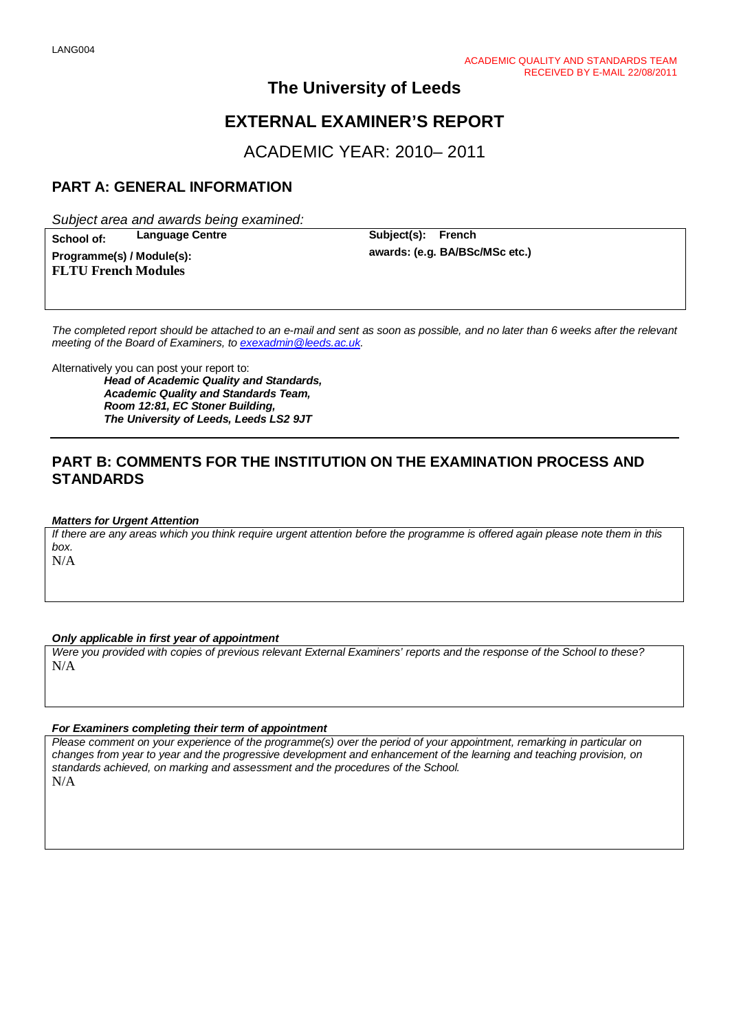# **The University of Leeds**

# **EXTERNAL EXAMINER'S REPORT**

ACADEMIC YEAR: 2010– 2011

## **PART A: GENERAL INFORMATION**

*Subject area and awards being examined:*

 $Programme(s) / Module(s):$ **FLTU French Modules**

**School of: Language Centre Subject(s): French**<br>**Programme(s)** / **Module(s)** 

*The completed report should be attached to an e-mail and sent as soon as possible, and no later than 6 weeks after the relevant meeting of the Board of Examiners, to [exexadmin@leeds.ac.uk.](mailto:exexadmin@leeds.ac.uk)*

Alternatively you can post your report to: *Head of Academic Quality and Standards, Academic Quality and Standards Team, Room 12:81, EC Stoner Building, The University of Leeds, Leeds LS2 9JT*

## **PART B: COMMENTS FOR THE INSTITUTION ON THE EXAMINATION PROCESS AND STANDARDS**

#### *Matters for Urgent Attention*

*If there are any areas which you think require urgent attention before the programme is offered again please note them in this box.*

N/A

#### *Only applicable in first year of appointment*

*Were you provided with copies of previous relevant External Examiners' reports and the response of the School to these?*  N/A

## *For Examiners completing their term of appointment*

*Please comment on your experience of the programme(s) over the period of your appointment, remarking in particular on changes from year to year and the progressive development and enhancement of the learning and teaching provision, on standards achieved, on marking and assessment and the procedures of the School.*  N/A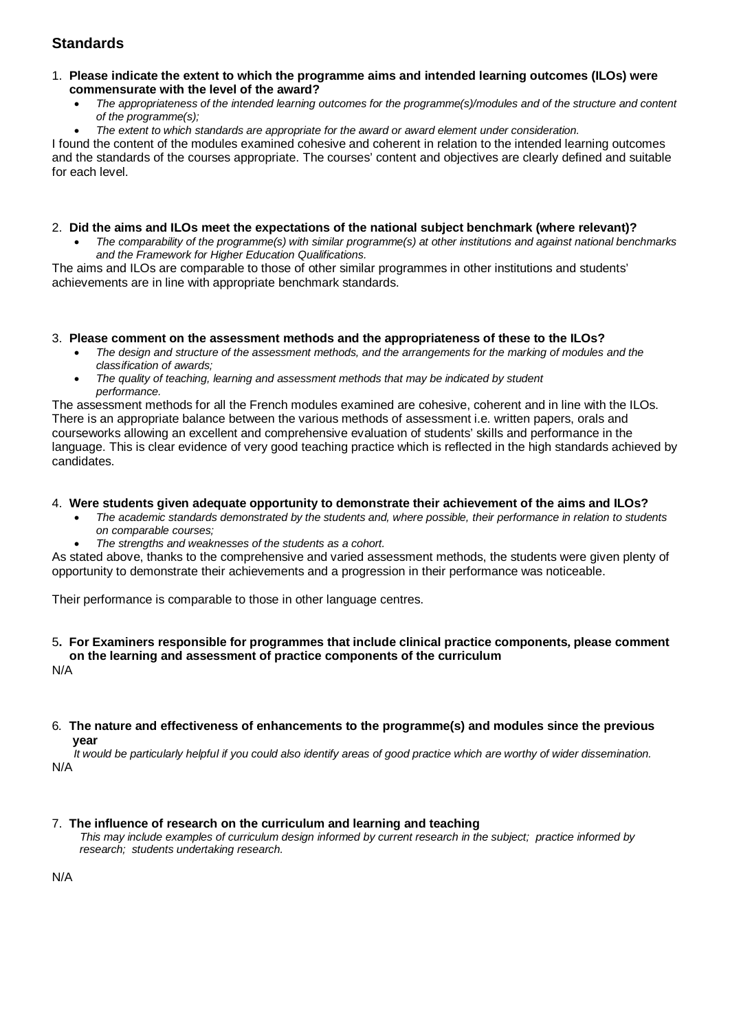## **Standards**

#### 1. **Please indicate the extent to which the programme aims and intended learning outcomes (ILOs) were commensurate with the level of the award?**

- *The appropriateness of the intended learning outcomes for the programme(s)/modules and of the structure and content of the programme(s);*
- *The extent to which standards are appropriate for the award or award element under consideration.*

I found the content of the modules examined cohesive and coherent in relation to the intended learning outcomes and the standards of the courses appropriate. The courses' content and objectives are clearly defined and suitable for each level.

### 2. **Did the aims and ILOs meet the expectations of the national subject benchmark (where relevant)?**

• *The comparability of the programme(s) with similar programme(s) at other institutions and against national benchmarks and the Framework for Higher Education Qualifications.*

The aims and ILOs are comparable to those of other similar programmes in other institutions and students' achievements are in line with appropriate benchmark standards.

#### 3. **Please comment on the assessment methods and the appropriateness of these to the ILOs?**

- *The design and structure of the assessment methods, and the arrangements for the marking of modules and the classification of awards;*
- *The quality of teaching, learning and assessment methods that may be indicated by student performance.*

The assessment methods for all the French modules examined are cohesive, coherent and in line with the ILOs. There is an appropriate balance between the various methods of assessment i.e. written papers, orals and courseworks allowing an excellent and comprehensive evaluation of students' skills and performance in the language. This is clear evidence of very good teaching practice which is reflected in the high standards achieved by candidates.

### 4. **Were students given adequate opportunity to demonstrate their achievement of the aims and ILOs?**

- *The academic standards demonstrated by the students and, where possible, their performance in relation to students on comparable courses;*
- *The strengths and weaknesses of the students as a cohort.*

As stated above, thanks to the comprehensive and varied assessment methods, the students were given plenty of opportunity to demonstrate their achievements and a progression in their performance was noticeable.

Their performance is comparable to those in other language centres.

#### 5**. For Examiners responsible for programmes that include clinical practice components, please comment on the learning and assessment of practice components of the curriculum**

N/A

#### 6*.* **The nature and effectiveness of enhancements to the programme(s) and modules since the previous year**

 *It would be particularly helpful if you could also identify areas of good practice which are worthy of wider dissemination.*  N/A

#### 7.**The influence of research on the curriculum and learning and teaching**

 *This may include examples of curriculum design informed by current research in the subject; practice informed by research; students undertaking research.* 

N/A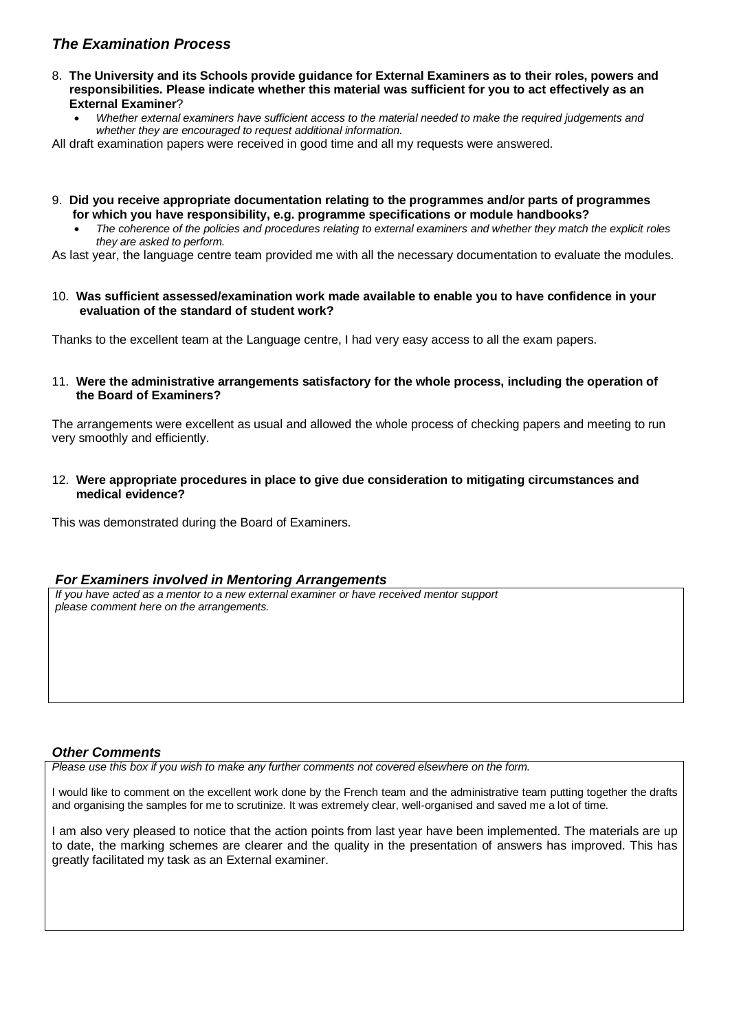## *The Examination Process*

- 8. **The University and its Schools provide guidance for External Examiners as to their roles, powers and responsibilities. Please indicate whether this material was sufficient for you to act effectively as an External Examiner**?
	- *Whether external examiners have sufficient access to the material needed to make the required judgements and whether they are encouraged to request additional information.*

All draft examination papers were received in good time and all my requests were answered.

- 9. **Did you receive appropriate documentation relating to the programmes and/or parts of programmes for which you have responsibility, e.g. programme specifications or module handbooks?**
	- *The coherence of the policies and procedures relating to external examiners and whether they match the explicit roles they are asked to perform.*

As last year, the language centre team provided me with all the necessary documentation to evaluate the modules.

10. **Was sufficient assessed/examination work made available to enable you to have confidence in your evaluation of the standard of student work?**

Thanks to the excellent team at the Language centre, I had very easy access to all the exam papers.

11. **Were the administrative arrangements satisfactory for the whole process, including the operation of the Board of Examiners?**

The arrangements were excellent as usual and allowed the whole process of checking papers and meeting to run very smoothly and efficiently.

12. **Were appropriate procedures in place to give due consideration to mitigating circumstances and medical evidence?**

This was demonstrated during the Board of Examiners.

#### *For Examiners involved in Mentoring Arrangements*

*If you have acted as a mentor to a new external examiner or have received mentor support please comment here on the arrangements.*

#### *Other Comments*

*Please use this box if you wish to make any further comments not covered elsewhere on the form.*

I would like to comment on the excellent work done by the French team and the administrative team putting together the drafts and organising the samples for me to scrutinize. It was extremely clear, well-organised and saved me a lot of time.

I am also very pleased to notice that the action points from last year have been implemented. The materials are up to date, the marking schemes are clearer and the quality in the presentation of answers has improved. This has greatly facilitated my task as an External examiner.